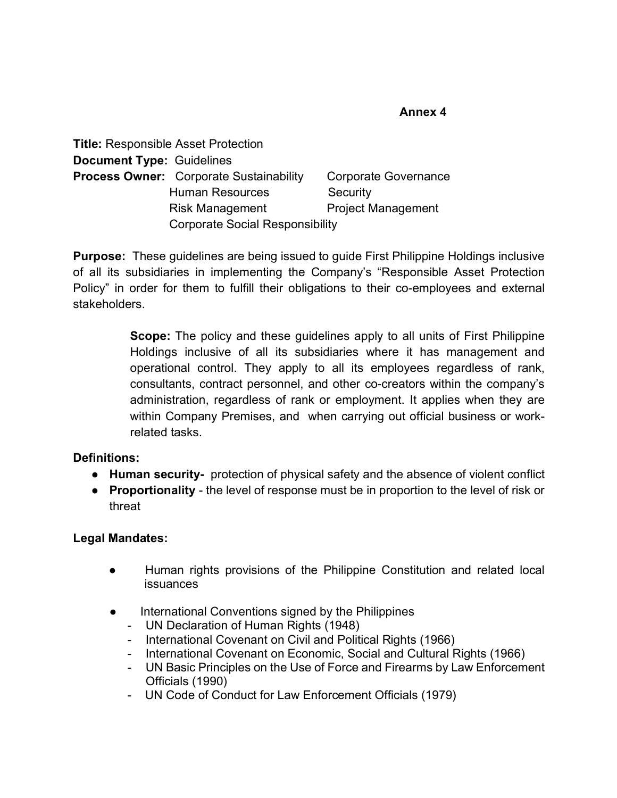#### **Annex 4**

|                                  | <b>Title: Responsible Asset Protection</b>     |                           |
|----------------------------------|------------------------------------------------|---------------------------|
| <b>Document Type: Guidelines</b> |                                                |                           |
|                                  | <b>Process Owner:</b> Corporate Sustainability | Corporate Governance      |
|                                  | <b>Human Resources</b>                         | Security                  |
|                                  | <b>Risk Management</b>                         | <b>Project Management</b> |
|                                  | <b>Corporate Social Responsibility</b>         |                           |

**Purpose:** These guidelines are being issued to guide First Philippine Holdings inclusive of all its subsidiaries in implementing the Company's "Responsible Asset Protection Policy" in order for them to fulfill their obligations to their co-employees and external stakeholders.

> **Scope:** The policy and these guidelines apply to all units of First Philippine Holdings inclusive of all its subsidiaries where it has management and operational control. They apply to all its employees regardless of rank, consultants, contract personnel, and other co-creators within the company's administration, regardless of rank or employment. It applies when they are within Company Premises, and when carrying out official business or workrelated tasks.

# **Definitions:**

- **Human security-** protection of physical safety and the absence of violent conflict
- **Proportionality** the level of response must be in proportion to the level of risk or threat

# **Legal Mandates:**

- Human rights provisions of the Philippine Constitution and related local issuances
- International Conventions signed by the Philippines
	- UN Declaration of Human Rights (1948)
	- International Covenant on Civil and Political Rights (1966)
	- International Covenant on Economic, Social and Cultural Rights (1966)
	- UN Basic Principles on the Use of Force and Firearms by Law Enforcement Officials (1990)
	- UN Code of Conduct for Law Enforcement Officials (1979)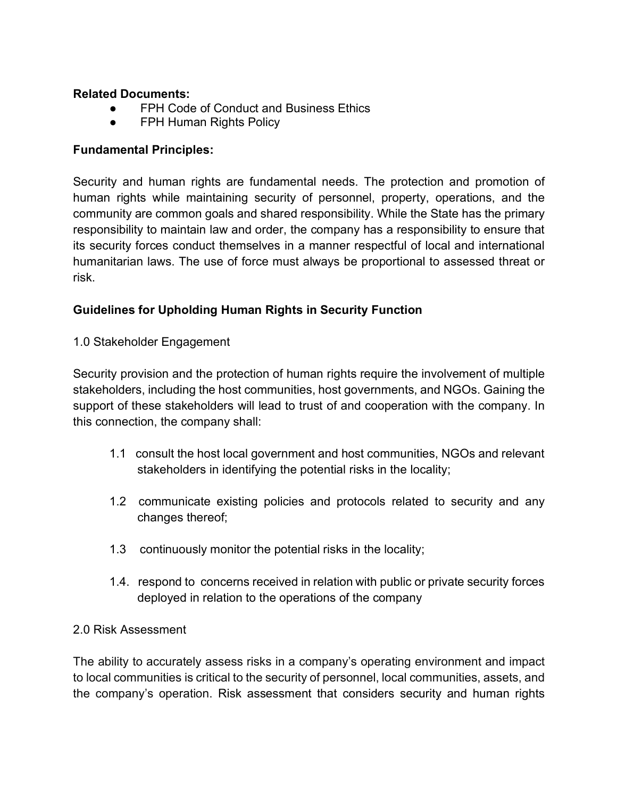# **Related Documents:**

- FPH Code of Conduct and Business Ethics
- FPH Human Rights Policy

# **Fundamental Principles:**

Security and human rights are fundamental needs. The protection and promotion of human rights while maintaining security of personnel, property, operations, and the community are common goals and shared responsibility. While the State has the primary responsibility to maintain law and order, the company has a responsibility to ensure that its security forces conduct themselves in a manner respectful of local and international humanitarian laws. The use of force must always be proportional to assessed threat or risk.

# **Guidelines for Upholding Human Rights in Security Function**

#### 1.0 Stakeholder Engagement

Security provision and the protection of human rights require the involvement of multiple stakeholders, including the host communities, host governments, and NGOs. Gaining the support of these stakeholders will lead to trust of and cooperation with the company. In this connection, the company shall:

- 1.1 consult the host local government and host communities, NGOs and relevant stakeholders in identifying the potential risks in the locality;
- 1.2 communicate existing policies and protocols related to security and any changes thereof;
- 1.3 continuously monitor the potential risks in the locality;
- 1.4. respond to concerns received in relation with public or private security forces deployed in relation to the operations of the company

#### 2.0 Risk Assessment

The ability to accurately assess risks in a company's operating environment and impact to local communities is critical to the security of personnel, local communities, assets, and the company's operation. Risk assessment that considers security and human rights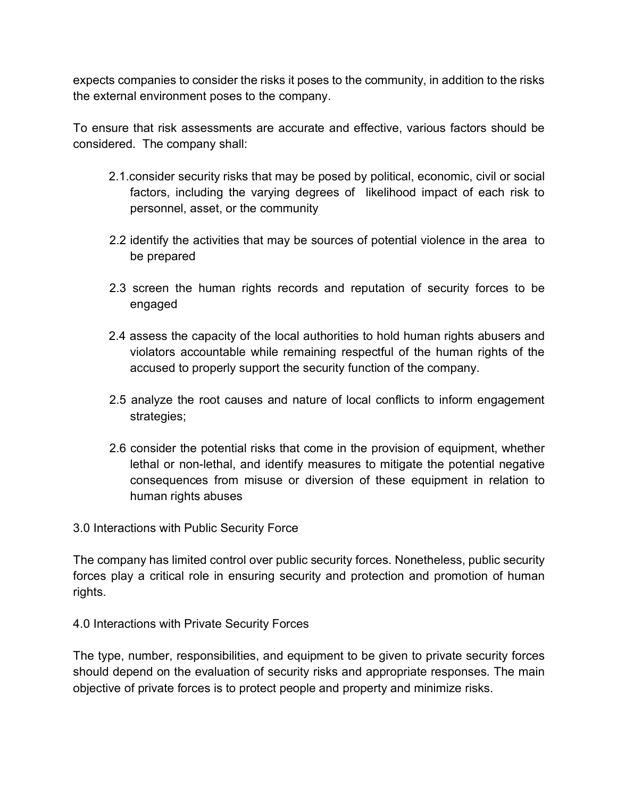expects companies to consider the risks it poses to the community, in addition to the risks the external environment poses to the company.

To ensure that risk assessments are accurate and effective, various factors should be considered. The company shall:

- 2.1.consider security risks that may be posed by political, economic, civil or social factors, including the varying degrees of likelihood impact of each risk to personnel, asset, or the community
- 2.2 identify the activities that may be sources of potential violence in the area to be prepared
- 2.3 screen the human rights records and reputation of security forces to be engaged
- 2.4 assess the capacity of the local authorities to hold human rights abusers and violators accountable while remaining respectful of the human rights of the accused to properly support the security function of the company.
- 2.5 analyze the root causes and nature of local conflicts to inform engagement strategies;
- 2.6 consider the potential risks that come in the provision of equipment, whether lethal or non-lethal, and identify measures to mitigate the potential negative consequences from misuse or diversion of these equipment in relation to human rights abuses

3.0 Interactions with Public Security Force

The company has limited control over public security forces. Nonetheless, public security forces play a critical role in ensuring security and protection and promotion of human rights.

4.0 Interactions with Private Security Forces

The type, number, responsibilities, and equipment to be given to private security forces should depend on the evaluation of security risks and appropriate responses. The main objective of private forces is to protect people and property and minimize risks.